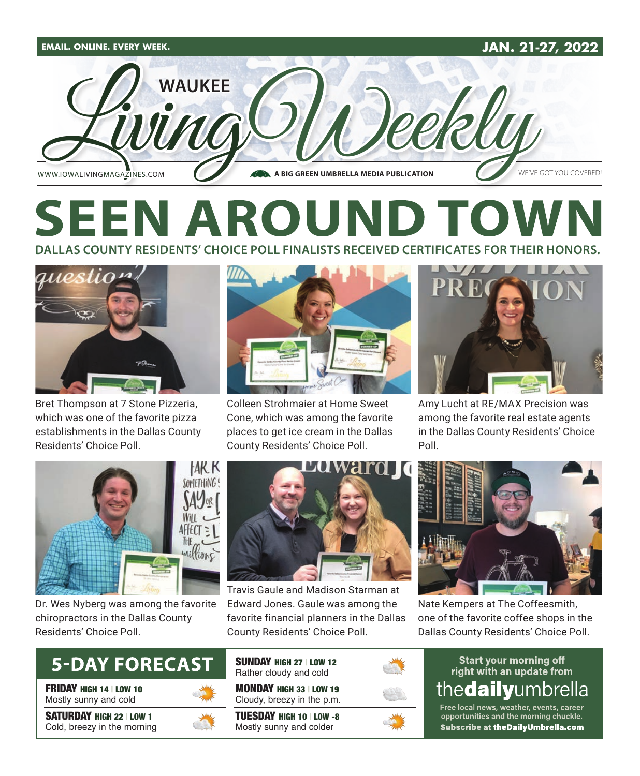

# **SEEN AROUND TOV DALLAS COUNTY RESIDENTS' CHOICE POLL FINALISTS RECEIVED CERTIFICATES FOR THEIR HONORS.**



Bret Thompson at 7 Stone Pizzeria, which was one of the favorite pizza establishments in the Dallas County Residents' Choice Poll.



Colleen Strohmaier at Home Sweet Cone, which was among the favorite places to get ice cream in the Dallas County Residents' Choice Poll.



Amy Lucht at RE/MAX Precision was among the favorite real estate agents in the Dallas County Residents' Choice Poll.



Dr. Wes Nyberg was among the favorite chiropractors in the Dallas County Residents' Choice Poll.



FRIDAY HIGH 14 | LOW 10 Mostly sunny and cold

SATURDAY HIGH 22 | LOW 1 Cold, breezy in the morning





Travis Gaule and Madison Starman at Edward Jones. Gaule was among the favorite financial planners in the Dallas County Residents' Choice Poll.



Nate Kempers at The Coffeesmith, one of the favorite coffee shops in the Dallas County Residents' Choice Poll.

#### **Start your morning off** right with an update from thedailyumbrella

Free local news, weather, events, career opportunities and the morning chuckle. Subscribe at theDailyUmbrella.com

TUESDAY HIGH 10 | LOW -8 Mostly sunny and colder

MONDAY HIGH 33 | LOW 19 Cloudy, breezy in the p.m.

SUNDAY HIGH 27 | LOW 12 Rather cloudy and cold

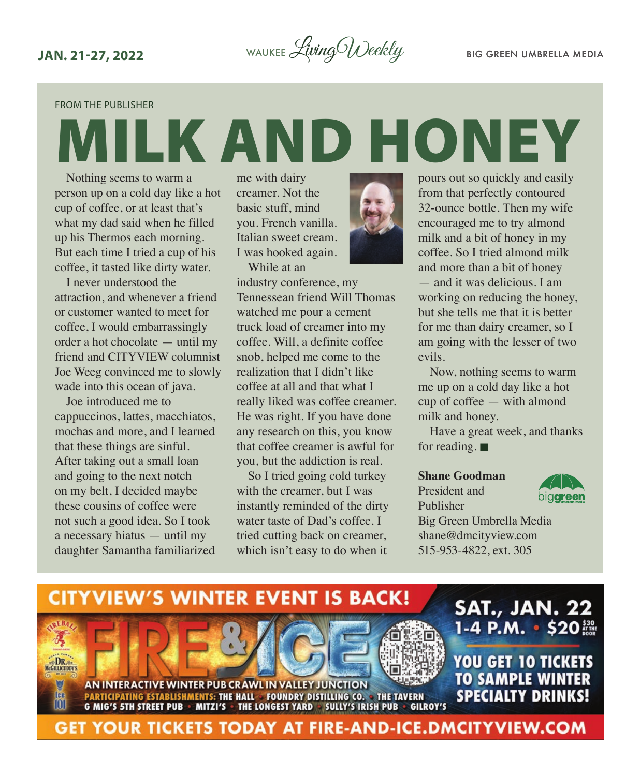FROM THE PUBLISHER

MILK AND HONEY Nothing seems to warm a person up on a cold day like a hot cup of coffee, or at least that's what my dad said when he filled up his Thermos each morning. But each time I tried a cup of his coffee, it tasted like dirty water.

I never understood the attraction, and whenever a friend or customer wanted to meet for coffee, I would embarrassingly order a hot chocolate — until my friend and CITYVIEW columnist Joe Weeg convinced me to slowly wade into this ocean of java.

Joe introduced me to cappuccinos, lattes, macchiatos, mochas and more, and I learned that these things are sinful. After taking out a small loan and going to the next notch on my belt, I decided maybe these cousins of coffee were not such a good idea. So I took a necessary hiatus — until my daughter Samantha familiarized

me with dairy creamer. Not the basic stuff, mind you. French vanilla. Italian sweet cream. I was hooked again.

While at an



industry conference, my Tennessean friend Will Thomas watched me pour a cement truck load of creamer into my coffee. Will, a definite coffee snob, helped me come to the realization that I didn't like coffee at all and that what I really liked was coffee creamer. He was right. If you have done any research on this, you know that coffee creamer is awful for you, but the addiction is real.

So I tried going cold turkey with the creamer, but I was instantly reminded of the dirty water taste of Dad's coffee. I tried cutting back on creamer, which isn't easy to do when it

pours out so quickly and easily from that perfectly contoured 32-ounce bottle. Then my wife encouraged me to try almond milk and a bit of honey in my coffee. So I tried almond milk and more than a bit of honey — and it was delicious. I am working on reducing the honey, but she tells me that it is better for me than dairy creamer, so I am going with the lesser of two evils.

Now, nothing seems to warm me up on a cold day like a hot cup of coffee — with almond milk and honey.

Have a great week, and thanks for reading.  $\blacksquare$ 

#### **Shane Goodman**

President and Publisher



Big Green Umbrella Media shane@dmcityview.com 515-953-4822, ext. 305

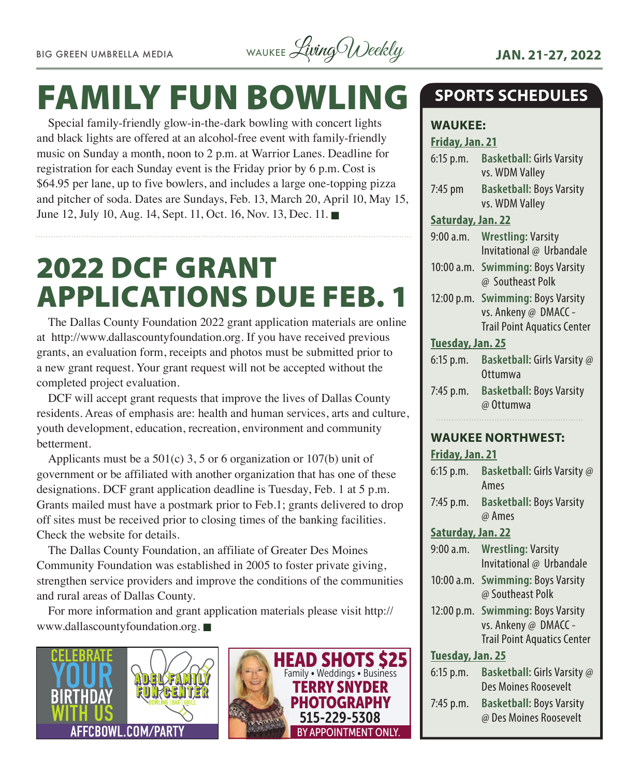

# FAMILY FUN BOWLING

Special family-friendly glow-in-the-dark bowling with concert lights and black lights are offered at an alcohol-free event with family-friendly music on Sunday a month, noon to 2 p.m. at Warrior Lanes. Deadline for registration for each Sunday event is the Friday prior by 6 p.m. Cost is \$64.95 per lane, up to five bowlers, and includes a large one-topping pizza and pitcher of soda. Dates are Sundays, Feb. 13, March 20, April 10, May 15, June 12, July 10, Aug. 14, Sept. 11, Oct. 16, Nov. 13, Dec. 11.

# 2022 DCF GRANT APPLICATIONS DUE FEB. 1

The Dallas County Foundation 2022 grant application materials are online at http://www.dallascountyfoundation.org. If you have received previous grants, an evaluation form, receipts and photos must be submitted prior to a new grant request. Your grant request will not be accepted without the completed project evaluation.

DCF will accept grant requests that improve the lives of Dallas County residents. Areas of emphasis are: health and human services, arts and culture, youth development, education, recreation, environment and community betterment.

Applicants must be a  $501(c)$  3, 5 or 6 organization or  $107(b)$  unit of government or be affiliated with another organization that has one of these designations. DCF grant application deadline is Tuesday, Feb. 1 at 5 p.m. Grants mailed must have a postmark prior to Feb.1; grants delivered to drop off sites must be received prior to closing times of the banking facilities. Check the website for details.

The Dallas County Foundation, an affiliate of Greater Des Moines Community Foundation was established in 2005 to foster private giving, strengthen service providers and improve the conditions of the communities and rural areas of Dallas County.

For more information and grant application materials please visit http:// www.dallascountyfoundation.org.





# **SPORTS SCHEDULES**

# **WAUKEE:**

#### **Friday, Jan. 21**

| 6:15 p.m.         | <b>Basketball: Girls Varsity</b><br>vs. WDM Valley                                              |
|-------------------|-------------------------------------------------------------------------------------------------|
| $7:45$ pm         | <b>Basketball: Boys Varsity</b><br>vs. WDM Valley                                               |
| Saturday, Jan. 22 |                                                                                                 |
| 9:00a.m.          | <b>Wrestling: Varsity</b><br>Invitational @ Urbandale                                           |
|                   | 10:00 a.m. Swimming: Boys Varsity<br>@ Southeast Polk                                           |
|                   | 12:00 p.m. Swimming: Boys Varsity<br>vs. Ankeny @ DMACC -<br><b>Trail Point Aquatics Center</b> |
| Tuesday, Jan. 25  |                                                                                                 |
| $6:15$ p.m.       | Basketball: Girls Varsity @                                                                     |
|                   | Ottumwa                                                                                         |
| 7:45 p.m.         | <b>Basketball: Boys Varsity</b><br>@ Ottumwa                                                    |

#### **WAUKEE NORTHWEST:**

**Friday, Jan. 21** 6:15 p.m. **Basketball:** Girls Varsity @ Ames 7:45 p.m. **Basketball:** Boys Varsity @ Ames **Saturday, Jan. 22** 9:00 a.m. **Wrestling:** Varsity Invitational @ Urbandale 10:00 a.m. **Swimming:** Boys Varsity @ Southeast Polk 12:00 p.m. **Swimming:** Boys Varsity vs. Ankeny @ DMACC - Trail Point Aquatics Center **Tuesday, Jan. 25** 6:15 p.m. **Basketball:** Girls Varsity @ Des Moines Roosevelt 7:45 p.m. **Basketball:** Boys Varsity @ Des Moines Roosevelt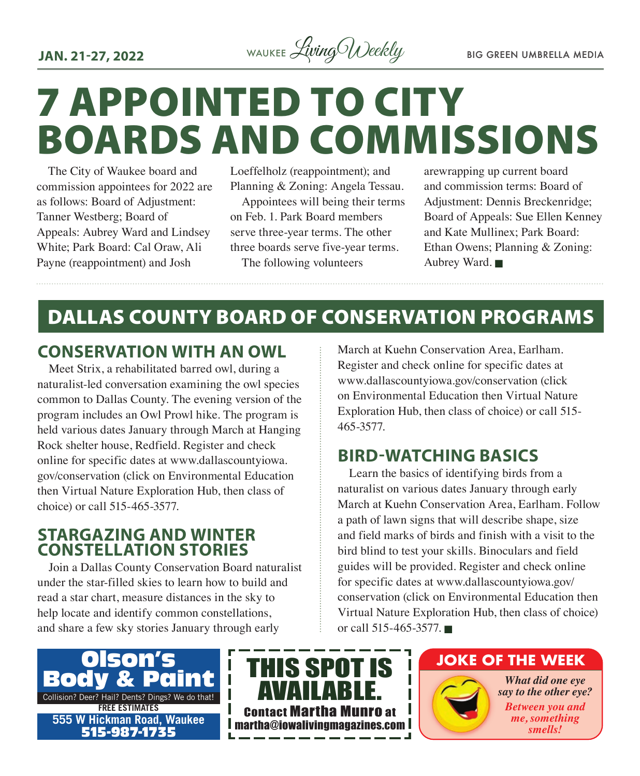**JAN. 21-27, 2022** WAUKEE *Living Weekly* BIG GREEN UMBRELLA MEDIA

# 7 APPOINTED TO CITY BOARDS AND COMMISSIONS

The City of Waukee board and commission appointees for 2022 are as follows: Board of Adjustment: Tanner Westberg; Board of Appeals: Aubrey Ward and Lindsey White; Park Board: Cal Oraw, Ali Payne (reappointment) and Josh

Loeffelholz (reappointment); and Planning & Zoning: Angela Tessau. Appointees will being their terms on Feb. 1. Park Board members serve three-year terms. The other three boards serve five-year terms. The following volunteers

arewrapping up current board and commission terms: Board of Adjustment: Dennis Breckenridge; Board of Appeals: Sue Ellen Kenney and Kate Mullinex; Park Board: Ethan Owens; Planning & Zoning: Aubrey Ward.

# DALLAS COUNTY BOARD OF CONSERVATION PROGRAMS

#### **CONSERVATION WITH AN OWL**

Meet Strix, a rehabilitated barred owl, during a naturalist-led conversation examining the owl species common to Dallas County. The evening version of the program includes an Owl Prowl hike. The program is held various dates January through March at Hanging Rock shelter house, Redfield. Register and check online for specific dates at www.dallascountyiowa. gov/conservation (click on Environmental Education then Virtual Nature Exploration Hub, then class of choice) or call 515-465-3577.

#### **STARGAZING AND WINTER CONSTELLATION STORIES**

Join a Dallas County Conservation Board naturalist under the star-filled skies to learn how to build and read a star chart, measure distances in the sky to help locate and identify common constellations, and share a few sky stories January through early

March at Kuehn Conservation Area, Earlham. Register and check online for specific dates at www.dallascountyiowa.gov/conservation (click on Environmental Education then Virtual Nature Exploration Hub, then class of choice) or call 515- 465-3577.

### **BIRD-WATCHING BASICS**

Learn the basics of identifying birds from a naturalist on various dates January through early March at Kuehn Conservation Area, Earlham. Follow a path of lawn signs that will describe shape, size and field marks of birds and finish with a visit to the bird blind to test your skills. Binoculars and field guides will be provided. Register and check online for specific dates at www.dallascountyiowa.gov/ conservation (click on Environmental Education then Virtual Nature Exploration Hub, then class of choice) or call 515-465-3577.





#### **JOKE OF THE WEEK**

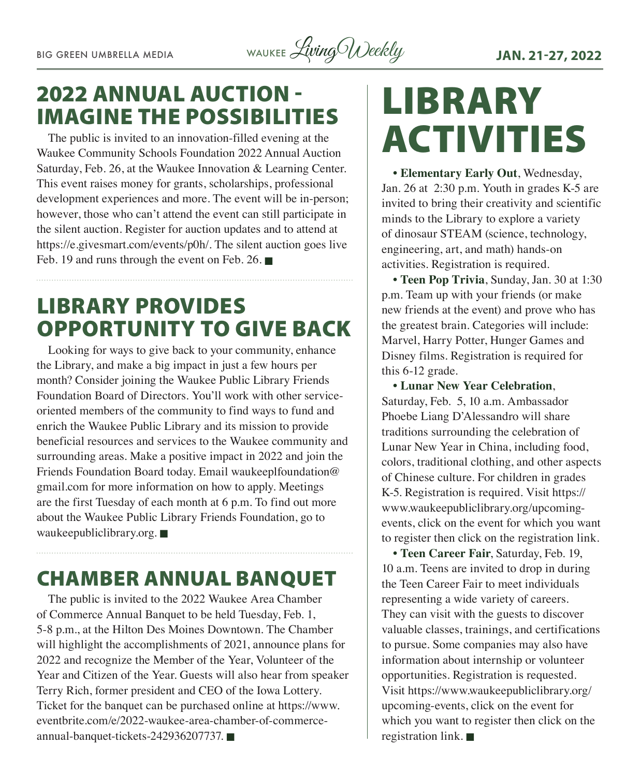BIG GREEN UMBRELLA MEDIA WAUKEE Living Weekly **JAN. 21-27, 2022** 

# 2022 ANNUAL AUCTION - IMAGINE THE POSSIBILITIES

Waukee Community Schools Foundation 2022 Annual Auction The public is invited to an innovation-filled evening at the  $\blacksquare$ Saturday, Feb. 26, at the Waukee Innovation & Learning Center. This event raises money for grants, scholarships, professional development experiences and more. The event will be in-person; however, those who can't attend the event can still participate in the silent auction. Register for auction updates and to attend at https://e.givesmart.com/events/p0h/. The silent auction goes live Feb. 19 and runs through the event on Feb. 26.  $\blacksquare$ 

# LIBRARY PROVIDES OPPORTUNITY TO GIVE BACK

Looking for ways to give back to your community, enhance the Library, and make a big impact in just a few hours per month? Consider joining the Waukee Public Library Friends Foundation Board of Directors. You'll work with other serviceoriented members of the community to find ways to fund and enrich the Waukee Public Library and its mission to provide beneficial resources and services to the Waukee community and surrounding areas. Make a positive impact in 2022 and join the Friends Foundation Board today. Email waukeeplfoundation@ gmail.com for more information on how to apply. Meetings are the first Tuesday of each month at 6 p.m. To find out more about the Waukee Public Library Friends Foundation, go to waukeepubliclibrary.org.  $\blacksquare$ 

# CHAMBER ANNUAL BANQUET

The public is invited to the 2022 Waukee Area Chamber of Commerce Annual Banquet to be held Tuesday, Feb. 1, 5-8 p.m., at the Hilton Des Moines Downtown. The Chamber will highlight the accomplishments of 2021, announce plans for 2022 and recognize the Member of the Year, Volunteer of the Year and Citizen of the Year. Guests will also hear from speaker Terry Rich, former president and CEO of the Iowa Lottery. Ticket for the banquet can be purchased online at https://www. eventbrite.com/e/2022-waukee-area-chamber-of-commerceannual-banquet-tickets-242936207737.

# LIBRARY

**• Elementary Early Out**, Wednesday, Jan. 26 at 2:30 p.m. Youth in grades K-5 are invited to bring their creativity and scientific minds to the Library to explore a variety of dinosaur STEAM (science, technology, engineering, art, and math) hands-on activities. Registration is required.

**• Teen Pop Trivia**, Sunday, Jan. 30 at 1:30 p.m. Team up with your friends (or make new friends at the event) and prove who has the greatest brain. Categories will include: Marvel, Harry Potter, Hunger Games and Disney films. Registration is required for this 6-12 grade.

**• Lunar New Year Celebration**, Saturday, Feb. 5, 10 a.m. Ambassador Phoebe Liang D'Alessandro will share traditions surrounding the celebration of Lunar New Year in China, including food, colors, traditional clothing, and other aspects of Chinese culture. For children in grades K-5. Registration is required. Visit https:// www.waukeepubliclibrary.org/upcomingevents, click on the event for which you want to register then click on the registration link.

**• Teen Career Fair**, Saturday, Feb. 19, 10 a.m. Teens are invited to drop in during the Teen Career Fair to meet individuals representing a wide variety of careers. They can visit with the guests to discover valuable classes, trainings, and certifications to pursue. Some companies may also have information about internship or volunteer opportunities. Registration is requested. Visit https://www.waukeepubliclibrary.org/ upcoming-events, click on the event for which you want to register then click on the registration link.  $\blacksquare$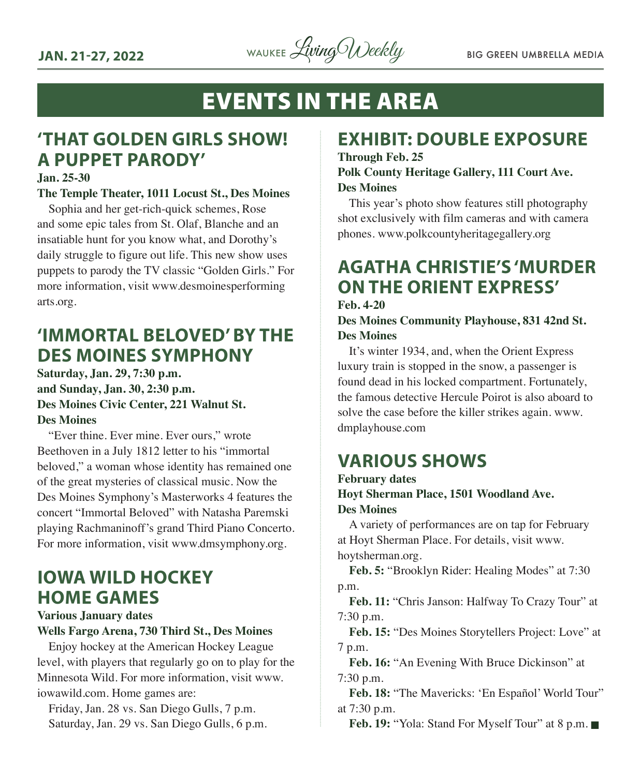

# EVENTS IN THE AREA

# **'THAT GOLDEN GIRLS SHOW! A PUPPET PARODY'**

#### **Jan. 25-30**

#### **The Temple Theater, 1011 Locust St., Des Moines**

Sophia and her get-rich-quick schemes, Rose and some epic tales from St. Olaf, Blanche and an insatiable hunt for you know what, and Dorothy's daily struggle to figure out life. This new show uses puppets to parody the TV classic "Golden Girls." For more information, visit www.desmoinesperforming arts.org.

# **'IMMORTAL BELOVED' BY THE DES MOINES SYMPHONY**

**Saturday, Jan. 29, 7:30 p.m. and Sunday, Jan. 30, 2:30 p.m. Des Moines Civic Center, 221 Walnut St. Des Moines**

"Ever thine. Ever mine. Ever ours," wrote Beethoven in a July 1812 letter to his "immortal beloved," a woman whose identity has remained one of the great mysteries of classical music. Now the Des Moines Symphony's Masterworks 4 features the concert "Immortal Beloved" with Natasha Paremski playing Rachmaninoff's grand Third Piano Concerto. For more information, visit www.dmsymphony.org.

# **IOWA WILD HOCKEY HOME GAMES**

**Various January dates**

**Wells Fargo Arena, 730 Third St., Des Moines**

Enjoy hockey at the American Hockey League level, with players that regularly go on to play for the Minnesota Wild. For more information, visit www. iowawild.com. Home games are:

Friday, Jan. 28 vs. San Diego Gulls, 7 p.m. Saturday, Jan. 29 vs. San Diego Gulls, 6 p.m.

## **EXHIBIT: DOUBLE EXPOSURE**

**Through Feb. 25 Polk County Heritage Gallery, 111 Court Ave. Des Moines**

This year's photo show features still photography shot exclusively with film cameras and with camera phones. www.polkcountyheritagegallery.org

#### **AGATHA CHRISTIE'S 'MURDER ON THE ORIENT EXPRESS' Feb. 4-20**

#### **Des Moines Community Playhouse, 831 42nd St. Des Moines**

It's winter 1934, and, when the Orient Express luxury train is stopped in the snow, a passenger is found dead in his locked compartment. Fortunately, the famous detective Hercule Poirot is also aboard to solve the case before the killer strikes again. www. dmplayhouse.com

# **VARIOUS SHOWS**

#### **February dates Hoyt Sherman Place, 1501 Woodland Ave. Des Moines**

A variety of performances are on tap for February at Hoyt Sherman Place. For details, visit www. hoytsherman.org.

Feb. 5: "Brooklyn Rider: Healing Modes" at 7:30 p.m.

**Feb. 11:** "Chris Janson: Halfway To Crazy Tour" at 7:30 p.m.

**Feb. 15:** "Des Moines Storytellers Project: Love" at 7 p.m.

**Feb. 16:** "An Evening With Bruce Dickinson" at 7:30 p.m.

**Feb. 18:** "The Mavericks: 'En Español' World Tour" at 7:30 p.m.

**Feb. 19: "Yola: Stand For Myself Tour" at 8 p.m. ■**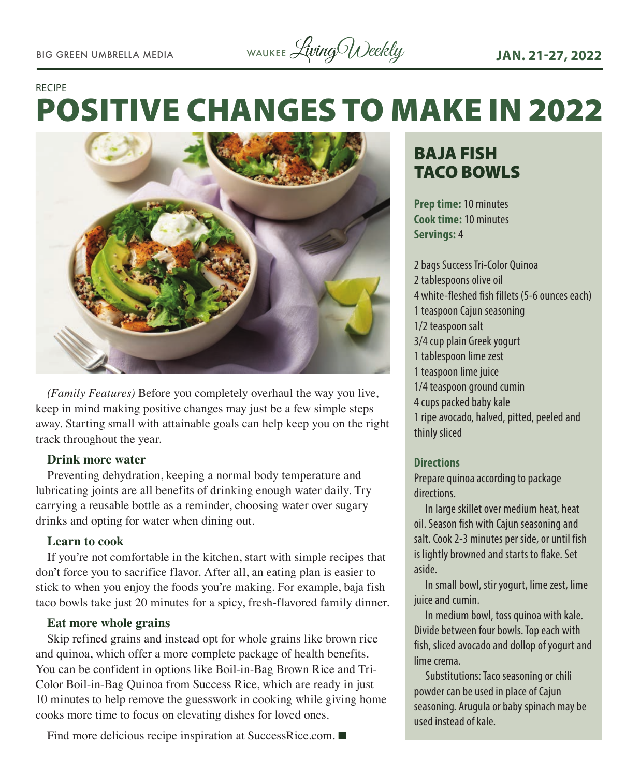# POSITIVE CHANGES TO MAKE IN 2022 RECIPE



*(Family Features)* Before you completely overhaul the way you live, keep in mind making positive changes may just be a few simple steps away. Starting small with attainable goals can help keep you on the right track throughout the year.

#### **Drink more water**

Preventing dehydration, keeping a normal body temperature and lubricating joints are all benefits of drinking enough water daily. Try carrying a reusable bottle as a reminder, choosing water over sugary drinks and opting for water when dining out.

#### **Learn to cook**

If you're not comfortable in the kitchen, start with simple recipes that don't force you to sacrifice flavor. After all, an eating plan is easier to stick to when you enjoy the foods you're making. For example, baja fish taco bowls take just 20 minutes for a spicy, fresh-flavored family dinner.

#### **Eat more whole grains**

Skip refined grains and instead opt for whole grains like brown rice and quinoa, which offer a more complete package of health benefits. You can be confident in options like Boil-in-Bag Brown Rice and Tri-Color Boil-in-Bag Quinoa from Success Rice, which are ready in just 10 minutes to help remove the guesswork in cooking while giving home cooks more time to focus on elevating dishes for loved ones.

#### Find more delicious recipe inspiration at SuccessRice.com.  $\blacksquare$

# BAJA FISH TACO BOWLS

**Prep time:** 10 minutes **Cook time:** 10 minutes **Servings:** 4

2 bags Success Tri-Color Quinoa 2 tablespoons olive oil 4 white-fleshed fish fillets (5-6 ounces each) 1 teaspoon Cajun seasoning 1/2 teaspoon salt 3/4 cup plain Greek yogurt 1 tablespoon lime zest 1 teaspoon lime juice 1/4 teaspoon ground cumin 4 cups packed baby kale 1 ripe avocado, halved, pitted, peeled and thinly sliced

#### **Directions**

Prepare quinoa according to package directions.

In large skillet over medium heat, heat oil. Season fish with Cajun seasoning and salt. Cook 2-3 minutes per side, or until fish is lightly browned and starts to flake. Set aside.

In small bowl, stir yogurt, lime zest, lime juice and cumin.

In medium bowl, toss quinoa with kale. Divide between four bowls. Top each with fish, sliced avocado and dollop of yogurt and lime crema.

Substitutions: Taco seasoning or chili powder can be used in place of Cajun seasoning. Arugula or baby spinach may be used instead of kale.